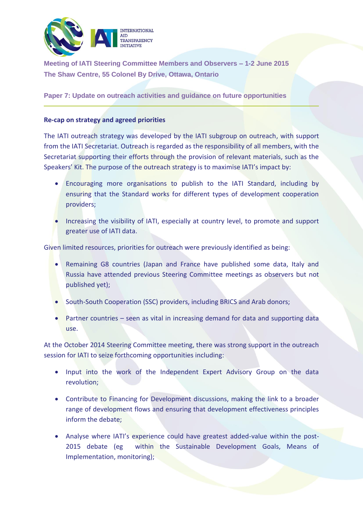

**Meeting of IATI Steering Committee Members and Observers – 1-2 June 2015 The Shaw Centre, 55 Colonel By Drive, Ottawa, Ontario**

**Paper 7: Update on outreach activities and guidance on future opportunities**

## **Re-cap on strategy and agreed priorities**

The IATI outreach strategy was developed by the IATI subgroup on outreach, with support from the IATI Secretariat. Outreach is regarded as the responsibility of all members, with the Secretariat supporting their efforts through the provision of relevant materials, such as the Speakers' Kit. The purpose of the outreach strategy is to maximise IATI's impact by:

- Encouraging more organisations to publish to the IATI Standard, including by ensuring that the Standard works for different types of development cooperation providers;
- Increasing the visibility of IATI, especially at country level, to promote and support greater use of IATI data.

Given limited resources, priorities for outreach were previously identified as being:

- Remaining G8 countries (Japan and France have published some data, Italy and Russia have attended previous Steering Committee meetings as observers but not published yet);
- South-South Cooperation (SSC) providers, including BRICS and Arab donors;
- Partner countries seen as vital in increasing demand for data and supporting data use.

At the October 2014 Steering Committee meeting, there was strong support in the outreach session for IATI to seize forthcoming opportunities including:

- Input into the work of the Independent Expert Advisory Group on the data revolution;
- Contribute to Financing for Development discussions, making the link to a broader range of development flows and ensuring that development effectiveness principles inform the debate;
- Analyse where IATI's experience could have greatest added-value within the post-2015 debate (eg within the Sustainable Development Goals, Means of Implementation, monitoring);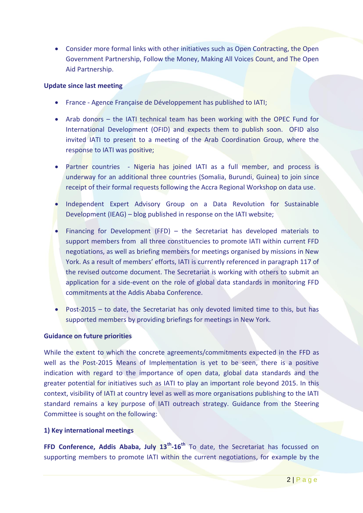Consider more formal links with other initiatives such as Open Contracting, the Open Government Partnership, Follow the Money, Making All Voices Count, and The Open Aid Partnership.

#### **Update since last meeting**

- **•** France Agence Française de Développement has published to IATI;
- Arab donors the IATI technical team has been working with the OPEC Fund for International Development (OFID) and expects them to publish soon. OFID also invited IATI to present to a meeting of the Arab Coordination Group, where the response to IATI was positive;
- Partner countries Nigeria has joined IATI as a full member, and process is underway for an additional three countries (Somalia, Burundi, Guinea) to join since receipt of their formal requests following the Accra Regional Workshop on data use.
- Independent Expert Advisory Group on a Data Revolution for Sustainable Development (IEAG) – blog published in response on the IATI website;
- Financing for Development (FFD) the Secretariat has developed materials to support members from all three constituencies to promote IATI within current FFD negotiations, as well as briefing members for meetings organised by missions in New York. As a result of members' efforts, IATI is currently referenced in paragraph 117 of the revised outcome document. The Secretariat is working with others to submit an application for a side-event on the role of global data standards in monitoring FFD commitments at the Addis Ababa Conference.
- Post-2015 to date, the Secretariat has only devoted limited time to this, but has supported members by providing briefings for meetings in New York.

### **Guidance on future priorities**

While the extent to which the concrete agreements/commitments expected in the FFD as well as the Post-2015 Means of Implementation is yet to be seen, there is a positive indication with regard to the importance of open data, global data standards and the greater potential for initiatives such as IATI to play an important role beyond 2015. In this context, visibility of IATI at country level as well as more organisations publishing to the IATI standard remains a key purpose of IATI outreach strategy. Guidance from the Steering Committee is sought on the following:

# **1) Key international meetings**

**FFD Conference, Addis Ababa, July 13th -16th** To date, the Secretariat has focussed on supporting members to promote IATI within the current negotiations, for example by the